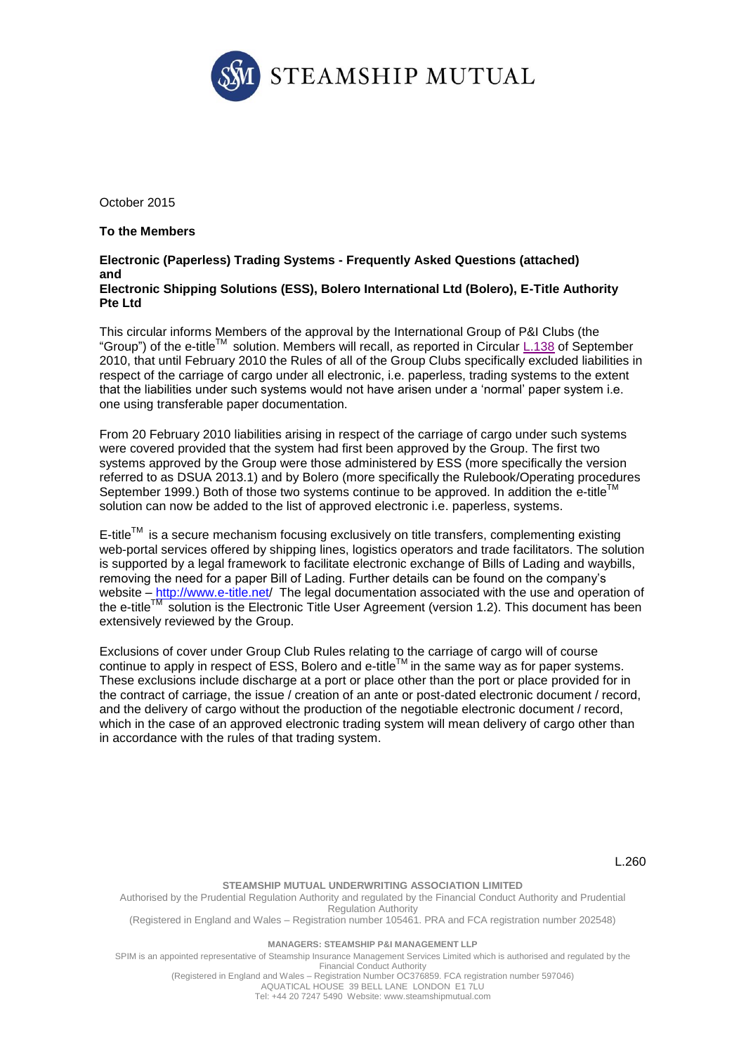

October 2015

### **To the Members**

#### **Electronic (Paperless) Trading Systems - Frequently Asked Questions (attached) and Electronic Shipping Solutions (ESS), Bolero International Ltd (Bolero), E-Title Authority Pte Ltd**

This circular informs Members of the approval by the International Group of P&I Clubs (the "Group") of the e-title<sup>TM</sup> solution. Members will recall, as reported in Circular  $\underline{\text{L.138}}$  $\underline{\text{L.138}}$  $\underline{\text{L.138}}$  of September 2010, that until February 2010 the Rules of all of the Group Clubs specifically excluded liabilities in respect of the carriage of cargo under all electronic, i.e. paperless, trading systems to the extent that the liabilities under such systems would not have arisen under a 'normal' paper system i.e. one using transferable paper documentation.

From 20 February 2010 liabilities arising in respect of the carriage of cargo under such systems were covered provided that the system had first been approved by the Group. The first two systems approved by the Group were those administered by ESS (more specifically the version referred to as DSUA 2013.1) and by Bolero (more specifically the Rulebook/Operating procedures September 1999.) Both of those two systems continue to be approved. In addition the  $e$ -title<sup>1</sup> solution can now be added to the list of approved electronic i.e. paperless, systems.

 $E$ -title<sup>TM</sup> is a secure mechanism focusing exclusively on title transfers, complementing existing web-portal services offered by shipping lines, logistics operators and trade facilitators. The solution is supported by a legal framework to facilitate electronic exchange of Bills of Lading and waybills, removing the need for a paper Bill of Lading. Further details can be found on the company's website – <http://www.e-title.net/> The legal documentation associated with the use and operation of the e-title<sup>TM</sup> solution is the Electronic Title User Agreement (version 1.2). This document has been extensively reviewed by the Group.

Exclusions of cover under Group Club Rules relating to the carriage of cargo will of course continue to apply in respect of  $ESS$ , Bolero and e-title<sup>TM</sup> in the same way as for paper systems. These exclusions include discharge at a port or place other than the port or place provided for in the contract of carriage, the issue / creation of an ante or post-dated electronic document / record, and the delivery of cargo without the production of the negotiable electronic document / record, which in the case of an approved electronic trading system will mean delivery of cargo other than in accordance with the rules of that trading system.

L.260

## **STEAMSHIP MUTUAL UNDERWRITING ASSOCIATION LIMITED**

Authorised by the Prudential Regulation Authority and regulated by the Financial Conduct Authority and Prudential Regulation Authority (Registered in England and Wales – Registration number 105461. PRA and FCA registration number 202548)

#### **MANAGERS: STEAMSHIP P&I MANAGEMENT LLP**

SPIM is an appointed representative of Steamship Insurance Management Services Limited which is authorised and regulated by the Financial Conduct Authority

(Registered in England and Wales – Registration Number OC376859. FCA registration number 597046) AQUATICAL HOUSE 39 BELL LANE LONDON E1 7LU

Tel: +44 20 7247 5490 Website: [www.steamshipmutual.com](http://www.steamshipmutual.com/)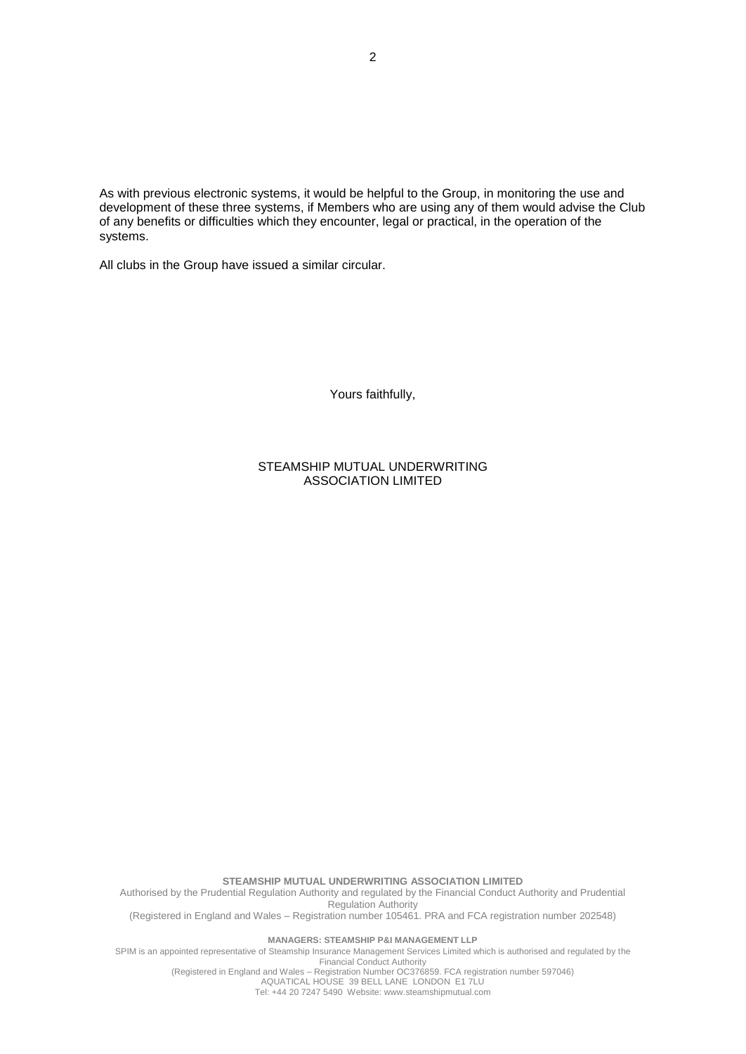As with previous electronic systems, it would be helpful to the Group, in monitoring the use and development of these three systems, if Members who are using any of them would advise the Club of any benefits or difficulties which they encounter, legal or practical, in the operation of the systems.

All clubs in the Group have issued a similar circular.

Yours faithfully,

### STEAMSHIP MUTUAL UNDERWRITING ASSOCIATION LIMITED

**STEAMSHIP MUTUAL UNDERWRITING ASSOCIATION LIMITED** Authorised by the Prudential Regulation Authority and regulated by the Financial Conduct Authority and Prudential Regulation Authority (Registered in England and Wales – Registration number 105461. PRA and FCA registration number 202548) **MANAGERS: STEAMSHIP P&I MANAGEMENT LLP**

SPIM is an appointed representative of Steamship Insurance Management Services Limited which is authorised and regulated by the Financial Conduct Authority

(Registered in England and Wales – Registration Number OC376859. FCA registration number 597046) AQUATICAL HOUSE 39 BELL LANE LONDON E1 7LU Tel: +44 20 7247 5490 Website: [www.steamshipmutual.com](http://www.steamshipmutual.com/)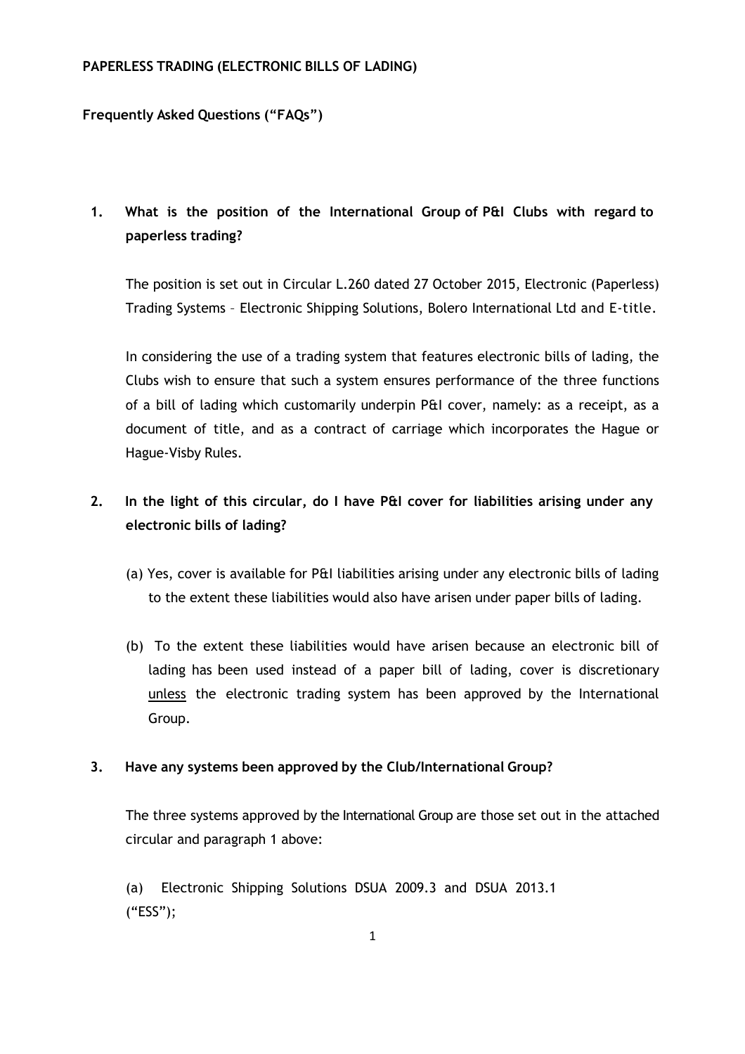### **PAPERLESS TRADING (ELECTRONIC BILLS OF LADING)**

## **Frequently Asked Questions ("FAQs")**

# **1. What is the position of the International Group of P&I Clubs with regard to paperless trading?**

The position is set out in Circular L.260 dated 27 October 2015, Electronic (Paperless) Trading Systems – Electronic Shipping Solutions, Bolero International Ltd and E-title.

In considering the use of a trading system that features electronic bills of lading, the Clubs wish to ensure that such a system ensures performance of the three functions of a bill of lading which customarily underpin P&I cover, namely: as a receipt, as a document of title, and as a contract of carriage which incorporates the Hague or Hague‐Visby Rules.

## **2. In the light of this circular, do I have P&I cover for liabilities arising under any electronic bills of lading?**

- (a) Yes, cover is available for P&I liabilities arising under any electronic bills of lading to the extent these liabilities would also have arisen under paper bills of lading.
- (b) To the extent these liabilities would have arisen because an electronic bill of lading has been used instead of a paper bill of lading, cover is discretionary unless the electronic trading system has been approved by the International Group.

## **3. Have any systems been approved by the Club/International Group?**

The three systems approved by the International Group are those set out in the attached circular and paragraph 1 above:

(a) Electronic Shipping Solutions DSUA 2009.3 and DSUA 2013.1 ("ESS");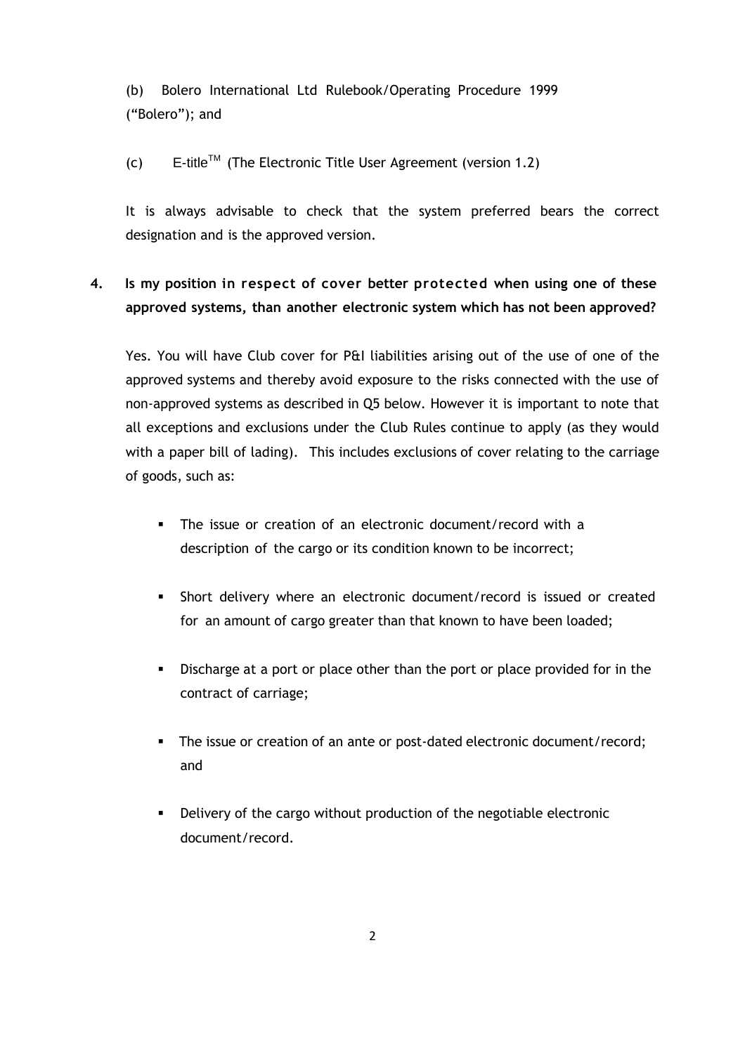(b) Bolero International Ltd Rulebook/Operating Procedure 1999 ("Bolero"); and

 $(c)$  E-title<sup>TM</sup> (The Electronic Title User Agreement (version 1.2)

It is always advisable to check that the system preferred bears the correct designation and is the approved version.

# **4. Is my position in respect of cover better protected when using one of these approved systems, than another electronic system which has not been approved?**

Yes. You will have Club cover for P&I liabilities arising out of the use of one of the approved systems and thereby avoid exposure to the risks connected with the use of non‐approved systems as described in Q5 below. However it is important to note that all exceptions and exclusions under the Club Rules continue to apply (as they would with a paper bill of lading). This includes exclusions of cover relating to the carriage of goods, such as:

- The issue or creation of an electronic document/record with a description of the cargo or its condition known to be incorrect;
- Short delivery where an electronic document/record is issued or created for an amount of cargo greater than that known to have been loaded;
- Discharge at a port or place other than the port or place provided for in the contract of carriage;
- The issue or creation of an ante or post-dated electronic document/record; and
- Delivery of the cargo without production of the negotiable electronic document/record.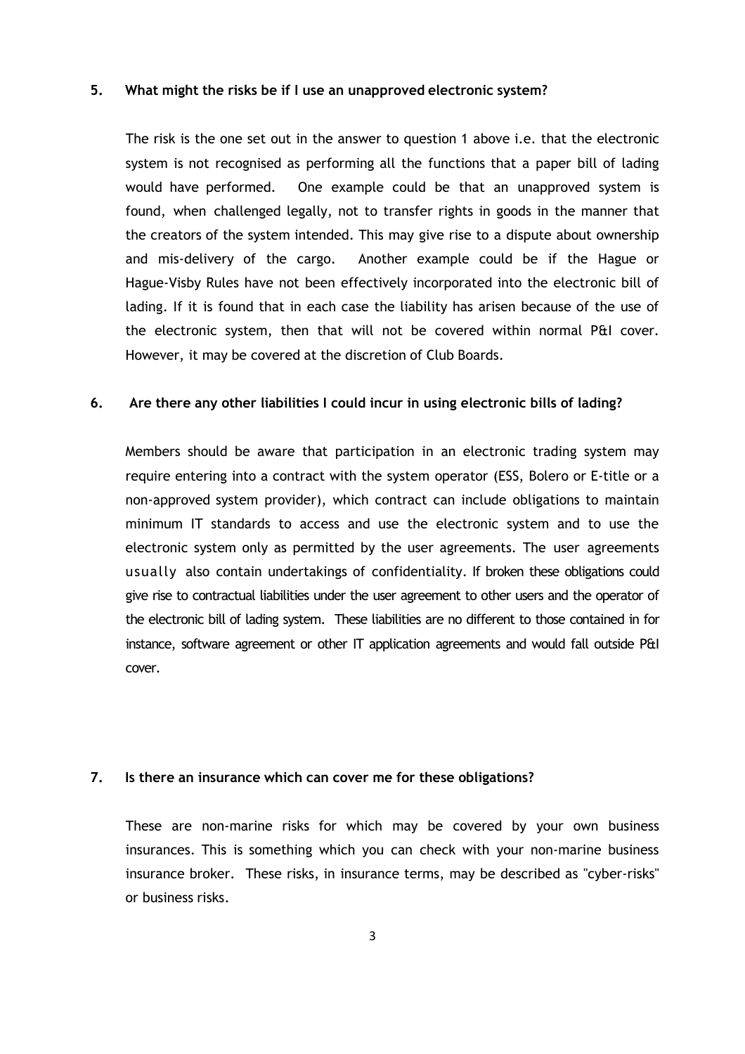### **5. What might the risks be if I use an unapproved electronic system?**

The risk is the one set out in the answer to question 1 above i.e. that the electronic system is not recognised as performing all the functions that a paper bill of lading would have performed. One example could be that an unapproved system is found, when challenged legally, not to transfer rights in goods in the manner that the creators of the system intended. This may give rise to a dispute about ownership and mis‐delivery of the cargo. Another example could be if the Hague or Hague‐Visby Rules have not been effectively incorporated into the electronic bill of lading. If it is found that in each case the liability has arisen because of the use of the electronic system, then that will not be covered within normal P&I cover. However, it may be covered at the discretion of Club Boards.

### **6. Are there any other liabilities I could incur in using electronic bills of lading?**

Members should be aware that participation in an electronic trading system may require entering into a contract with the system operator (ESS, Bolero or E-title or a non‐approved system provider), which contract can include obligations to maintain minimum IT standards to access and use the electronic system and to use the electronic system only as permitted by the user agreements. The user agreements usually also contain undertakings of confidentiality. If broken these obligations could give rise to contractual liabilities under the user agreement to other users and the operator of the electronic bill of lading system. These liabilities are no different to those contained in for instance, software agreement or other IT application agreements and would fall outside P&I cover.

### **7. Is there an insurance which can cover me for these obligations?**

These are non‐marine risks for which may be covered by your own business insurances. This is something which you can check with your non‐marine business insurance broker. These risks, in insurance terms, may be described as "cyber-risks" or business risks.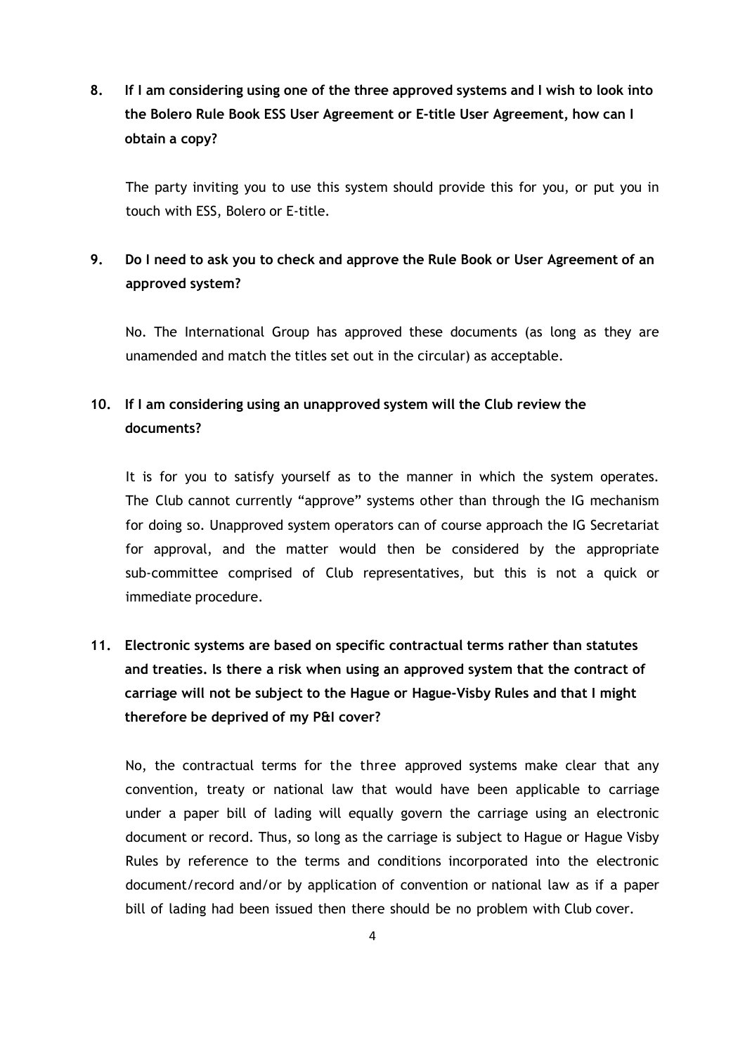**8. If I am considering using one of the three approved systems and I wish to look into the Bolero Rule Book ESS User Agreement or E-title User Agreement, how can I obtain a copy?**

The party inviting you to use this system should provide this for you, or put you in touch with ESS, Bolero or E-title.

## **9. Do I need to ask you to check and approve the Rule Book or User Agreement of an approved system?**

No. The International Group has approved these documents (as long as they are unamended and match the titles set out in the circular) as acceptable.

## **10. If I am considering using an unapproved system will the Club review the documents?**

It is for you to satisfy yourself as to the manner in which the system operates. The Club cannot currently "approve" systems other than through the IG mechanism for doing so. Unapproved system operators can of course approach the IG Secretariat for approval, and the matter would then be considered by the appropriate sub-committee comprised of Club representatives, but this is not a quick or immediate procedure.

# **11. Electronic systems are based on specific contractual terms rather than statutes and treaties. Is there a risk when using an approved system that the contract of carriage will not be subject to the Hague or Hague‐Visby Rules and that I might therefore be deprived of my P&I cover?**

No, the contractual terms for the three approved systems make clear that any convention, treaty or national law that would have been applicable to carriage under a paper bill of lading will equally govern the carriage using an electronic document or record. Thus, so long as the carriage is subject to Hague or Hague Visby Rules by reference to the terms and conditions incorporated into the electronic document/record and/or by application of convention or national law as if a paper bill of lading had been issued then there should be no problem with Club cover.